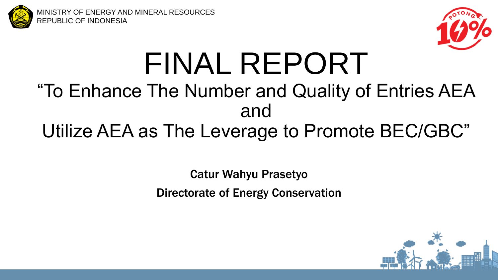

MINISTRY OF ENERGY AND MINERAL RESOURCES REPUBLIC OF INDONESIA



# FINAL REPORT

## "To Enhance The Number and Quality of Entries AEA and Utilize AEA as The Leverage to Promote BEC/GBC"

## Catur Wahyu Prasetyo

Directorate of Energy Conservation

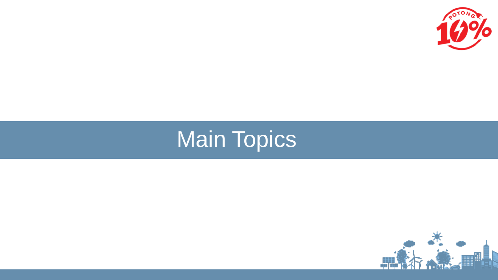

## Main Topics

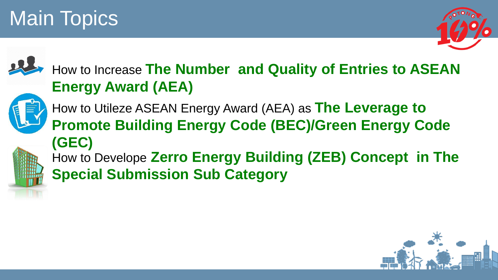## Main Topics





### How to Increase **The Number and Quality of Entries to ASEAN Energy Award (AEA)**



How to Utileze ASEAN Energy Award (AEA) as **The Leverage to Promote Building Energy Code (BEC)/Green Energy Code (GEC)** How to Develope **Zerro Energy Building (ZEB) Concept in The** 

**Special Submission Sub Category**

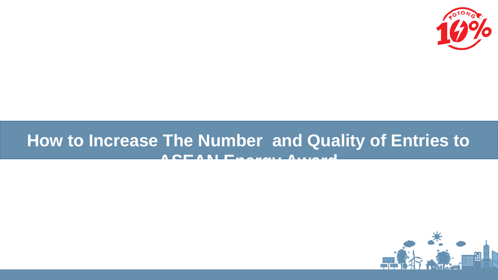

## **How to Increase The Number and Quality of Entries to ASEAN Energy Award**

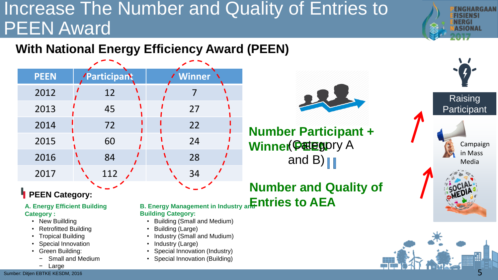## Increase The Number and Quality of Entries to PEEN Award

### **With National Energy Efficiency Award (PEEN)**

| <b>PEEN</b> | <b>Participant</b> | / Winner |
|-------------|--------------------|----------|
| 2012        | 12                 |          |
| 2013        | 45                 | 27       |
| 2014        | 72                 | 22       |
| 2015        | 60                 | 24       |
| 2016        | 84                 | 28       |
| 2017        | 112                | 34       |

#### **PEEN Category:**

**A. Energy Efficient Building Category :**

- New Buillding
- Retrofitted Building
- Tropical Building
- Special Innovation
- Green Building:
	- Small and Medium
- **B. Energy Management in Industry and Infinition to AEA Building Category:**
	- Building (Small and Medium)
	- Building (Large)
	- Industry (Small and Mudium)
	- Industry (Large)
- Special Innovation (Industry)
- Special Innovation (Building)



**Number Participant + Winner Patego**ry A and B)  $\|\|$ 





нымн

NGHARGAAN

Raising **Participant** 

> Campaign in Mass Media

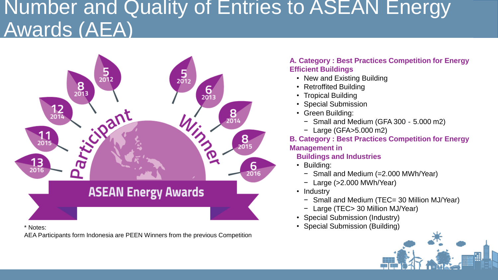## Number and Quality of Entries to ASEAN Energy Awards (AEA)



AEA Participants form Indonesia are PEEN Winners from the previous Competition

#### **A. Category : Best Practices Competition for Energy Efficient Buildings**

- New and Existing Building
- Retroffited Building
- Tropical Building
- Special Submission
- Green Building:
	- − Small and Medium (GFA 300‐5.000 m2)
	- − Large (GFA>5.000 m2)

#### **B. Category : Best Practices Competition for Energy Management in**

#### **Buildings and Industries**

- Building:
	- − Small and Medium (=2.000 MWh/Year)
	- − Large (>2.000 MWh/Year)
- Industry
	- − Small and Medium (TEC= 30 Million MJ/Year)
	- − Large (TEC> 30 Million MJ/Year)
- Special Submission (Industry)
- \* Notes: Special Submission (Building)

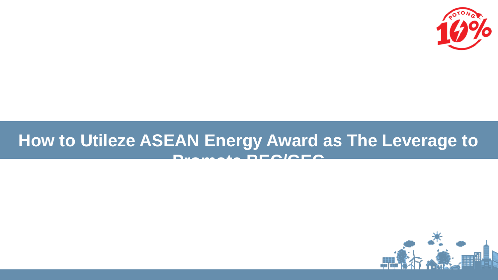

### **How to Utileze ASEAN Energy Award as The Leverage to Promote BEC/GEC**

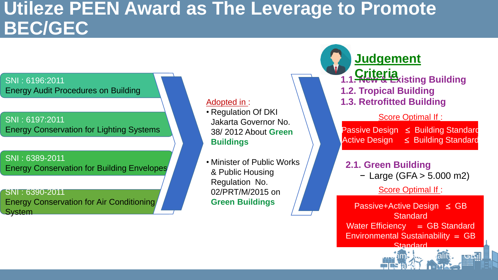### **Utileze PEEN Award as The Leverage to Promote BEC/GEC**

#### SNI : 6196:2011 Energy Audit Procedures on Building

#### SNI : 6197:2011 Energy Conservation for Lighting Systems

SNI : 6389-2011 Energy Conservation for Building Envelopes

SNI : 6390-2011 Energy Conservation for Air Conditioning **System** 

#### Adopted in :

- Regulation Of DKI Jakarta Governor No. 38/ 2012 About **Green Buildings**
- Minister of Public Works & Public Housing Regulation No. 02/PRT/M/2015 on **Green Buildings**

**1.1. New & Existing Building 1.2. Tropical Building 1.3. Retrofitted Building Judgement Criteria**

#### Score Optimal If :

Passive Design  $\leq$  Building Standard Active Design  $\leq$  Building Standard

#### **2.1. Green Building**

− Large (GFA > 5.000 m2)

Score Optimal If:

Passive+Active Design  $\leq$  GB **Standard** Water Efficiency  $=$  GB Standard Environmental Sustainability  $=$  GB **Standard** 

Indoor Environmental Quality GB **Stardard**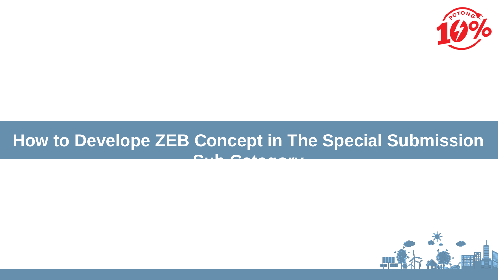

## **How to Develope ZEB Concept in The Special Submission Sub Category**

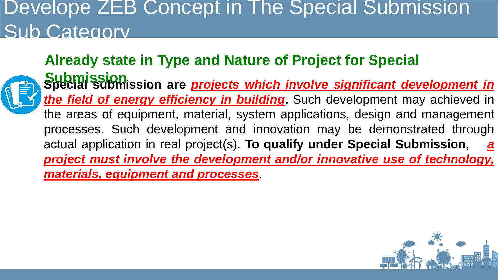## Develope ZEB Concept in The Special Submission Sub Category

### **Already state in Type and Nature of Project for Special**



**Special submission are** *projects which involve significant development in the field of energy efficiency in building***.** Such development may achieved in the areas of equipment, material, system applications, design and management processes. Such development and innovation may be demonstrated through actual application in real project(s). **To qualify under Special Submission**, *a project must involve the development and/or innovative use of technology, materials, equipment and processes*. **Submission**